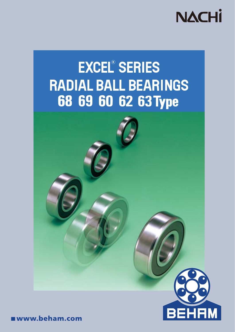

# **EXCEL® SERIES** RADIAL BALL BEARINGS 68 69 60 62 63 Type



www.beham.com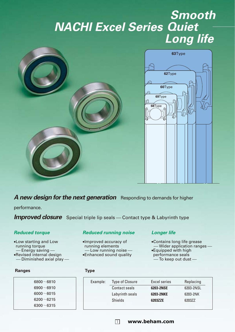# *NACHI Excel Series Quiet Smooth Long life*



*A new design for the next generation* Responding to demands for higher

performance.

**Improved closure** Special triple lip seals — Contact type & Labyrinth type

## *Reduced torque*

•Low starting and Low running torque - Energy saving -•Revised internal design  $-$  Diminished axial play  $-$ 

#### **Ranges Type**

| $6800\!\sim\!6810$   |  |
|----------------------|--|
| $6900\!\sim\!6910$   |  |
| $6000\!\simeq\!6015$ |  |
| $6200\!\sim\!6215$   |  |
| $6300\!\sim\!6315$   |  |
|                      |  |

#### *Reduced running noise*

•Improved accuracy of running elements  $-$  Low running noise  $-$ •Enhanced sound quality

 $\Box$ 

## *Longer life*

- •Contains long life grease  $-$  Wider application ranges  $-$
- •Equipped with high
- performance seals  $-$  To keep out dust  $-$

| Example: | <b>Type of Closure</b> | Excel series | Replacing |
|----------|------------------------|--------------|-----------|
|          | Contact seals          | 6203-2NSE    | 6203-2NSL |
|          | Labyrinth seals        | 6203-2NKE    | 6203-2NK  |
|          | <b>Shields</b>         | 6203ZZE      | 6203ZZ    |
|          |                        |              |           |

## **www.beham.com**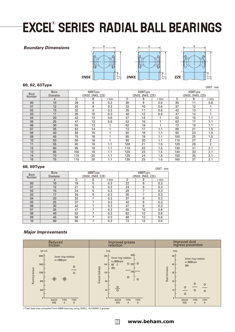# **EXCEL<sup>®</sup> SERIES RADIAL BALL BEARINGS**

#### *Boundary Dimensions*





#### **60, 62, 63Type** UNIT: mm

| <b>Bore</b><br>Number | <b>Bore</b><br><b>Diameter</b> | 6000Type<br>(2NSE, 2NKE, ZZE) |    | 6200Type<br>(2NSE, 2NKE, ZZE) |     |    | 6300Type<br>(2NSE, 2NKE, ZZE) |     |    |                |
|-----------------------|--------------------------------|-------------------------------|----|-------------------------------|-----|----|-------------------------------|-----|----|----------------|
|                       |                                | D                             |    | D                             |     |    | D<br>B                        |     |    |                |
|                       | d                              |                               | B  | r min                         |     | B  | r min                         |     |    | r min          |
| 00                    | 10                             | 26                            | 8  | 0.3                           | 30  | 9  | 0.6                           | 35  | 11 | 0.6            |
| 01                    | 12                             | 28                            | 8  | 0.3                           | 32  | 10 | 0.6                           | 37  | 12 |                |
| 02                    | 15                             | 32                            | 9  | 0.3                           | 35  | 11 | 0.6                           | 42  | 13 | и              |
| 03                    | 17                             | 35                            | 10 | 0.3                           | 40  | 12 | 0.6                           | 47  | 14 | 1              |
| 04                    | 20                             | 42                            | 12 | 0.6                           | 47  | 14 |                               | 52  | 15 | 1.1            |
| 05                    | 25                             | 47                            | 12 | 0.6                           | 52  | 15 |                               | 62  | 17 | 1.1            |
| 06                    | 30                             | 55                            | 13 |                               | 62  | 16 |                               | 72  | 19 | 1.1            |
| 07                    | 35                             | 62                            | 14 |                               | 72  | 17 | 1.1                           | 80  | 21 | 1.5            |
| 08                    | 40                             | 68                            | 15 |                               | 80  | 18 | 1.1                           | 90  | 23 | 1.5            |
| 09                    | 45                             | 75                            | 16 |                               | 85  | 19 | 1.1                           | 100 | 25 | 1.5            |
| 10                    | 50                             | 80                            | 16 |                               | 90  | 20 | 1.1                           | 110 | 27 | 2              |
| 11                    | 55                             | 90                            | 18 | 1.1                           | 100 | 21 | 1.5                           | 120 | 29 | $\overline{2}$ |
| 12                    | 60                             | 95                            | 18 | 1.1                           | 110 | 22 | 1.5                           | 130 | 31 | 2.1            |
| 13                    | 65                             | 100                           | 18 | 1.1                           | 120 | 23 | 1.5                           | 140 | 33 | 2.1            |
| 14                    | 70                             | 110                           | 20 | 1.1                           | 125 | 24 | 1.5                           | 150 | 35 | 2.1            |
| 15                    | 75                             | 115                           | 20 | 1.1                           | 130 | 25 | 1.5                           | 160 | 37 | 2.1            |

#### **68, 69Type**

| . .<br>UNII : MIT     |                                |                 |                               |     |                               |    |       |  |
|-----------------------|--------------------------------|-----------------|-------------------------------|-----|-------------------------------|----|-------|--|
| <b>Bore</b><br>Number | <b>Bore</b><br><b>Diameter</b> |                 | 6800Type<br>(2NSE, 2NKE, ZZE) |     | 6900Type<br>(2NSE, 2NKE, ZZE) |    |       |  |
|                       | d                              | B<br>D<br>r min |                               |     | D                             | B  | r min |  |
| 00                    | 10                             | 19              | 5                             | 0.3 | 22                            | 6  | 0.3   |  |
| 01                    | 12                             | 21              | 5                             | 0.3 | 24                            | 6  | 0.3   |  |
| 02                    | 15                             | 24              | 5                             | 0.3 | 28                            | 7  | 0.3   |  |
| 03                    | 17                             | 26              | 5                             | 0.3 | 30                            | 7  | 0.3   |  |
| 04                    | 20                             | 32              | 7                             | 0.3 | 37                            | 9  | 0.3   |  |
| 05                    | 25                             | 37              | 7                             | 0.3 | 42                            | 9  | 0.3   |  |
| 06                    | 30                             | 42              | 7                             | 0.3 | 47                            | 9  | 0.3   |  |
| 07                    | 35                             | 47              | 7                             | 0.3 | 55                            | 10 | 0.6   |  |
| 08                    | 40                             | 52              | 7                             | 0.3 | 62                            | 12 | 0.6   |  |
| 09                    | 45                             | 58              | 7                             | 0.3 | 68                            | 12 | 0.6   |  |
| 10                    | 50                             | 65              | 7                             | 0.3 | 72                            | 12 | 0.6   |  |
|                       |                                |                 |                               |     |                               |    |       |  |

#### *Major Improvements*



2

\*Test data was compiled from 6908 bearing using SHELL ALVANIA-2 grease.

**www.beham.com**

 $U(0, 0, 0, \ldots, 0)$ 

φd φD